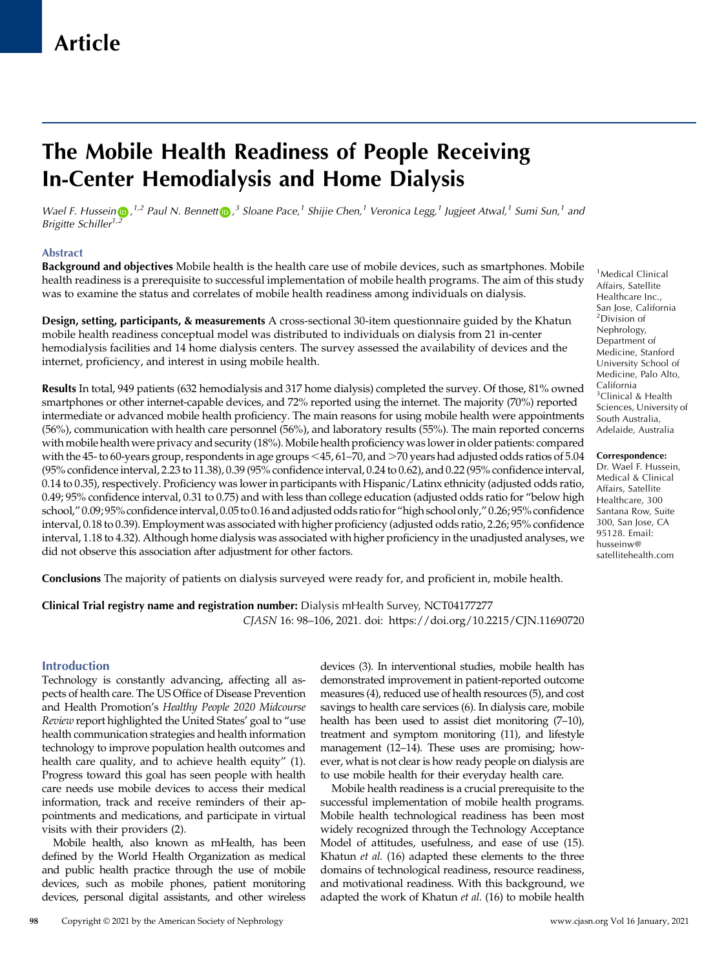# The Mobile Health Readiness of People Receiving In-Center Hemodialysis and Home Dialysis

Wael F. Hussein  $\bigcirc$ [,](https://orcid.org/0000-0001-9174-3499) <sup>1,2</sup> Paul N. Bennett $\bigcirc$ ,<sup>3</sup> Sloane Pace,<sup>1</sup> Shijie Chen,<sup>1</sup> Veronica Legg,<sup>1</sup> Jugjeet Atwal,<sup>1</sup> Sumi Sun,<sup>1</sup> and Brigitte Schiller<sup>1[,2](https://orcid.org/0000-0002-2308-3123)</sup>

## Abstract

Background and objectives Mobile health is the health care use of mobile devices, such as smartphones. Mobile health readiness is a prerequisite to successful implementation of mobile health programs. The aim of this study was to examine the status and correlates of mobile health readiness among individuals on dialysis.

Design, setting, participants, & measurements A cross-sectional 30-item questionnaire guided by the Khatun mobile health readiness conceptual model was distributed to individuals on dialysis from 21 in-center hemodialysis facilities and 14 home dialysis centers. The survey assessed the availability of devices and the internet, proficiency, and interest in using mobile health.

Results In total, 949 patients (632 hemodialysis and 317 home dialysis) completed the survey. Of those, 81% owned smartphones or other internet-capable devices, and 72% reported using the internet. The majority (70%) reported intermediate or advanced mobile health proficiency. The main reasons for using mobile health were appointments (56%), communication with health care personnel (56%), and laboratory results (55%). The main reported concerns with mobile health were privacy and security (18%). Mobile health proficiency was lower in older patients: compared with the 45- to 60-years group, respondents in age groups  $\leq$ 45, 61–70, and  $>$ 70 years had adjusted odds ratios of 5.04 (95% confidence interval, 2.23 to 11.38), 0.39 (95% confidence interval, 0.24 to 0.62), and 0.22 (95% confidence interval, 0.14 to 0.35), respectively. Proficiency was lower in participants with Hispanic/Latinx ethnicity (adjusted odds ratio, 0.49; 95% confidence interval, 0.31 to 0.75) and with less than college education (adjusted odds ratio for "below high school," 0.09; 95% confidenceinterval, 0.05 to 0.16 and adjusted odds ratio for "high school only," 0.26; 95% confidence interval, 0.18 to 0.39). Employment was associated with higher proficiency (adjusted odds ratio, 2.26; 95% confidence interval, 1.18 to 4.32). Although home dialysis was associated with higher proficiency in the unadjusted analyses, we did not observe this association after adjustment for other factors.

<sup>1</sup>Medical Clinical Affairs, Satellite Healthcare Inc., San Jose, California 2 Division of Nephrology, Department of Medicine, Stanford University School of Medicine, Palo Alto, California 3 Clinical & Health Sciences, University of South Australia, Adelaide, Australia

#### Correspondence:

Dr. Wael F. Hussein, Medical & Clinical Affairs, Satellite Healthcare, 300 Santana Row, Suite 300, San Jose, CA 95128. Email: [husseinw@](mailto:husseinw@satellitehealth.com) [satellitehealth.com](mailto:husseinw@satellitehealth.com)

Conclusions The majority of patients on dialysis surveyed were ready for, and proficient in, mobile health.

Clinical Trial registry name and registration number: Dialysis mHealth Survey, [NCT04177277](https://clinicaltrials.gov/ct2/show/NCT04177277) CJASN 16: 98–106, 2021. doi:<https://doi.org/10.2215/CJN.11690720>

## Introduction

Technology is constantly advancing, affecting all aspects of health care. The US Office of Disease Prevention and Health Promotion's Healthy People 2020 Midcourse Review report highlighted the United States' goal to "use health communication strategies and health information technology to improve population health outcomes and health care quality, and to achieve health equity" (1). Progress toward this goal has seen people with health care needs use mobile devices to access their medical information, track and receive reminders of their appointments and medications, and participate in virtual visits with their providers (2).

Mobile health, also known as mHealth, has been defined by the World Health Organization as medical and public health practice through the use of mobile devices, such as mobile phones, patient monitoring devices, personal digital assistants, and other wireless

devices (3). In interventional studies, mobile health has demonstrated improvement in patient-reported outcome measures (4), reduced use of health resources (5), and cost savings to health care services (6). In dialysis care, mobile health has been used to assist diet monitoring (7–10), treatment and symptom monitoring (11), and lifestyle management (12–14). These uses are promising; however, what is not clear is how ready people on dialysis are to use mobile health for their everyday health care.

Mobile health readiness is a crucial prerequisite to the successful implementation of mobile health programs. Mobile health technological readiness has been most widely recognized through the Technology Acceptance Model of attitudes, usefulness, and ease of use (15). Khatun et al. (16) adapted these elements to the three domains of technological readiness, resource readiness, and motivational readiness. With this background, we adapted the work of Khatun et al. (16) to mobile health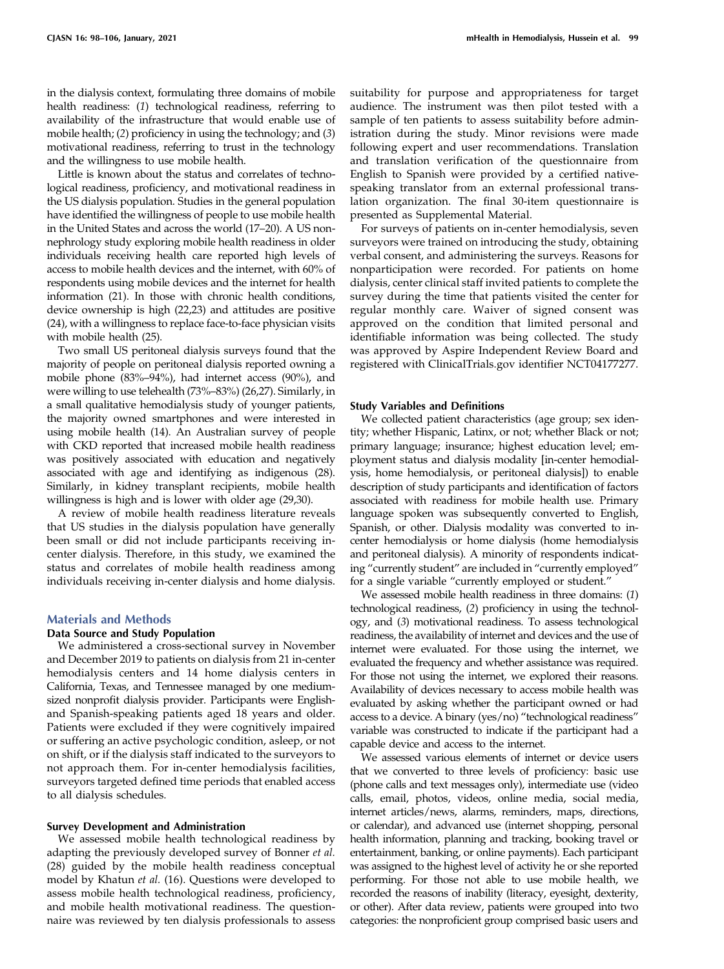in the dialysis context, formulating three domains of mobile health readiness: (1) technological readiness, referring to availability of the infrastructure that would enable use of mobile health; (2) proficiency in using the technology; and (3) motivational readiness, referring to trust in the technology and the willingness to use mobile health.

Little is known about the status and correlates of technological readiness, proficiency, and motivational readiness in the US dialysis population. Studies in the general population have identified the willingness of people to use mobile health in the United States and across the world (17–20). A US nonnephrology study exploring mobile health readiness in older individuals receiving health care reported high levels of access to mobile health devices and the internet, with 60% of respondents using mobile devices and the internet for health information (21). In those with chronic health conditions, device ownership is high (22,23) and attitudes are positive (24), with a willingness to replace face-to-face physician visits with mobile health (25).

Two small US peritoneal dialysis surveys found that the majority of people on peritoneal dialysis reported owning a mobile phone (83%–94%), had internet access (90%), and were willing to use telehealth (73%–83%) (26,27). Similarly, in a small qualitative hemodialysis study of younger patients, the majority owned smartphones and were interested in using mobile health (14). An Australian survey of people with CKD reported that increased mobile health readiness was positively associated with education and negatively associated with age and identifying as indigenous (28). Similarly, in kidney transplant recipients, mobile health willingness is high and is lower with older age (29,30).

A review of mobile health readiness literature reveals that US studies in the dialysis population have generally been small or did not include participants receiving incenter dialysis. Therefore, in this study, we examined the status and correlates of mobile health readiness among individuals receiving in-center dialysis and home dialysis.

#### Materials and Methods

#### Data Source and Study Population

We administered a cross-sectional survey in November and December 2019 to patients on dialysis from 21 in-center hemodialysis centers and 14 home dialysis centers in California, Texas, and Tennessee managed by one mediumsized nonprofit dialysis provider. Participants were Englishand Spanish-speaking patients aged 18 years and older. Patients were excluded if they were cognitively impaired or suffering an active psychologic condition, asleep, or not on shift, or if the dialysis staff indicated to the surveyors to not approach them. For in-center hemodialysis facilities, surveyors targeted defined time periods that enabled access to all dialysis schedules.

## Survey Development and Administration

We assessed mobile health technological readiness by adapting the previously developed survey of Bonner et al. (28) guided by the mobile health readiness conceptual model by Khatun et al. (16). Questions were developed to assess mobile health technological readiness, proficiency, and mobile health motivational readiness. The questionnaire was reviewed by ten dialysis professionals to assess suitability for purpose and appropriateness for target audience. The instrument was then pilot tested with a sample of ten patients to assess suitability before administration during the study. Minor revisions were made following expert and user recommendations. Translation and translation verification of the questionnaire from English to Spanish were provided by a certified nativespeaking translator from an external professional translation organization. The final 30-item questionnaire is presented as [Supplemental Material.](http://cjasn.asnjournals.org/lookup/suppl/doi:10.2215/CJN.11690720/-/DCSupplemental)

For surveys of patients on in-center hemodialysis, seven surveyors were trained on introducing the study, obtaining verbal consent, and administering the surveys. Reasons for nonparticipation were recorded. For patients on home dialysis, center clinical staff invited patients to complete the survey during the time that patients visited the center for regular monthly care. Waiver of signed consent was approved on the condition that limited personal and identifiable information was being collected. The study was approved by Aspire Independent Review Board and registered with [ClinicalTrials.gov](http://ClinicalTrials.gov) identifier NCT04177277.

#### Study Variables and Definitions

We collected patient characteristics (age group; sex identity; whether Hispanic, Latinx, or not; whether Black or not; primary language; insurance; highest education level; employment status and dialysis modality [in-center hemodialysis, home hemodialysis, or peritoneal dialysis]) to enable description of study participants and identification of factors associated with readiness for mobile health use. Primary language spoken was subsequently converted to English, Spanish, or other. Dialysis modality was converted to incenter hemodialysis or home dialysis (home hemodialysis and peritoneal dialysis). A minority of respondents indicating "currently student" are included in "currently employed" for a single variable "currently employed or student."

We assessed mobile health readiness in three domains: (1) technological readiness, (2) proficiency in using the technology, and (3) motivational readiness. To assess technological readiness, the availability of internet and devices and the use of internet were evaluated. For those using the internet, we evaluated the frequency and whether assistance was required. For those not using the internet, we explored their reasons. Availability of devices necessary to access mobile health was evaluated by asking whether the participant owned or had access to a device. A binary (yes/no) "technological readiness" variable was constructed to indicate if the participant had a capable device and access to the internet.

We assessed various elements of internet or device users that we converted to three levels of proficiency: basic use (phone calls and text messages only), intermediate use (video calls, email, photos, videos, online media, social media, internet articles/news, alarms, reminders, maps, directions, or calendar), and advanced use (internet shopping, personal health information, planning and tracking, booking travel or entertainment, banking, or online payments). Each participant was assigned to the highest level of activity he or she reported performing. For those not able to use mobile health, we recorded the reasons of inability (literacy, eyesight, dexterity, or other). After data review, patients were grouped into two categories: the nonproficient group comprised basic users and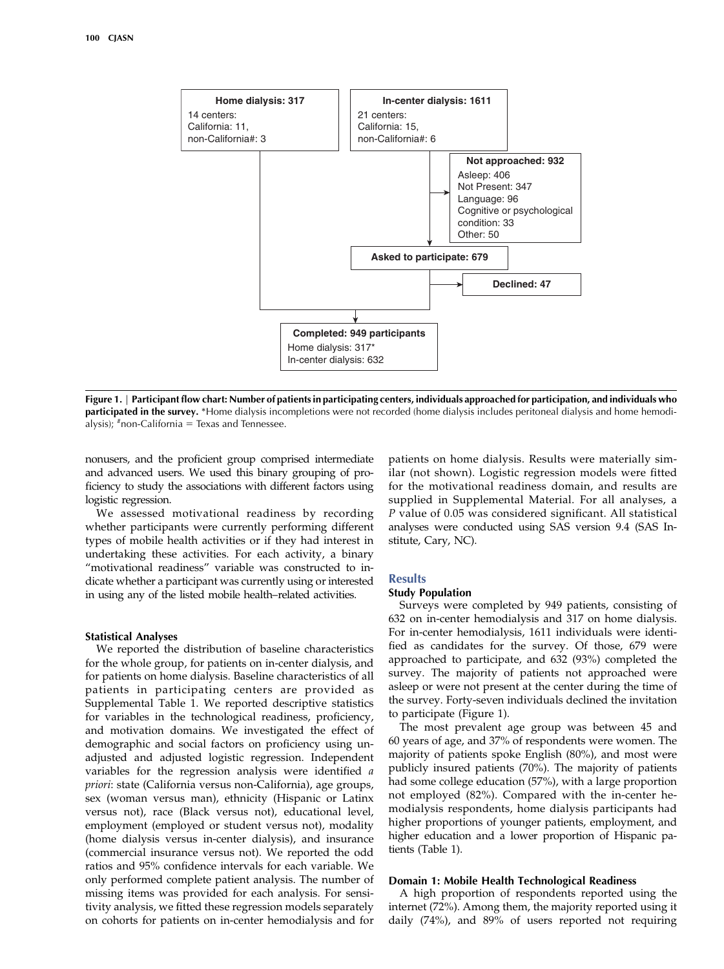

Figure 1. | Participant flow chart: Number of patients in participating centers, individuals approached for participation, and individuals who participated in the survey. \*Home dialysis incompletions were not recorded (home dialysis includes peritoneal dialysis and home hemodialysis);  $*$ non-California = Texas and Tennessee.

nonusers, and the proficient group comprised intermediate and advanced users. We used this binary grouping of proficiency to study the associations with different factors using logistic regression.

We assessed motivational readiness by recording whether participants were currently performing different types of mobile health activities or if they had interest in undertaking these activities. For each activity, a binary "motivational readiness" variable was constructed to indicate whether a participant was currently using or interested in using any of the listed mobile health–related activities.

#### Statistical Analyses

We reported the distribution of baseline characteristics for the whole group, for patients on in-center dialysis, and for patients on home dialysis. Baseline characteristics of all patients in participating centers are provided as [Supplemental Table 1](http://cjasn.asnjournals.org/lookup/suppl/doi:10.2215/CJN.11690720/-/DCSupplemental). We reported descriptive statistics for variables in the technological readiness, proficiency, and motivation domains. We investigated the effect of demographic and social factors on proficiency using unadjusted and adjusted logistic regression. Independent variables for the regression analysis were identified a priori: state (California versus non-California), age groups, sex (woman versus man), ethnicity (Hispanic or Latinx versus not), race (Black versus not), educational level, employment (employed or student versus not), modality (home dialysis versus in-center dialysis), and insurance (commercial insurance versus not). We reported the odd ratios and 95% confidence intervals for each variable. We only performed complete patient analysis. The number of missing items was provided for each analysis. For sensitivity analysis, we fitted these regression models separately on cohorts for patients on in-center hemodialysis and for patients on home dialysis. Results were materially similar (not shown). Logistic regression models were fitted for the motivational readiness domain, and results are supplied in [Supplemental Material](http://cjasn.asnjournals.org/lookup/suppl/doi:10.2215/CJN.11690720/-/DCSupplemental). For all analyses, a P value of 0.05 was considered significant. All statistical analyses were conducted using SAS version 9.4 (SAS Institute, Cary, NC).

## **Results**

#### Study Population

Surveys were completed by 949 patients, consisting of 632 on in-center hemodialysis and 317 on home dialysis. For in-center hemodialysis, 1611 individuals were identified as candidates for the survey. Of those, 679 were approached to participate, and 632 (93%) completed the survey. The majority of patients not approached were asleep or were not present at the center during the time of the survey. Forty-seven individuals declined the invitation to participate (Figure 1).

The most prevalent age group was between 45 and 60 years of age, and 37% of respondents were women. The majority of patients spoke English (80%), and most were publicly insured patients (70%). The majority of patients had some college education (57%), with a large proportion not employed (82%). Compared with the in-center hemodialysis respondents, home dialysis participants had higher proportions of younger patients, employment, and higher education and a lower proportion of Hispanic patients (Table 1).

## Domain 1: Mobile Health Technological Readiness

A high proportion of respondents reported using the internet (72%). Among them, the majority reported using it daily (74%), and 89% of users reported not requiring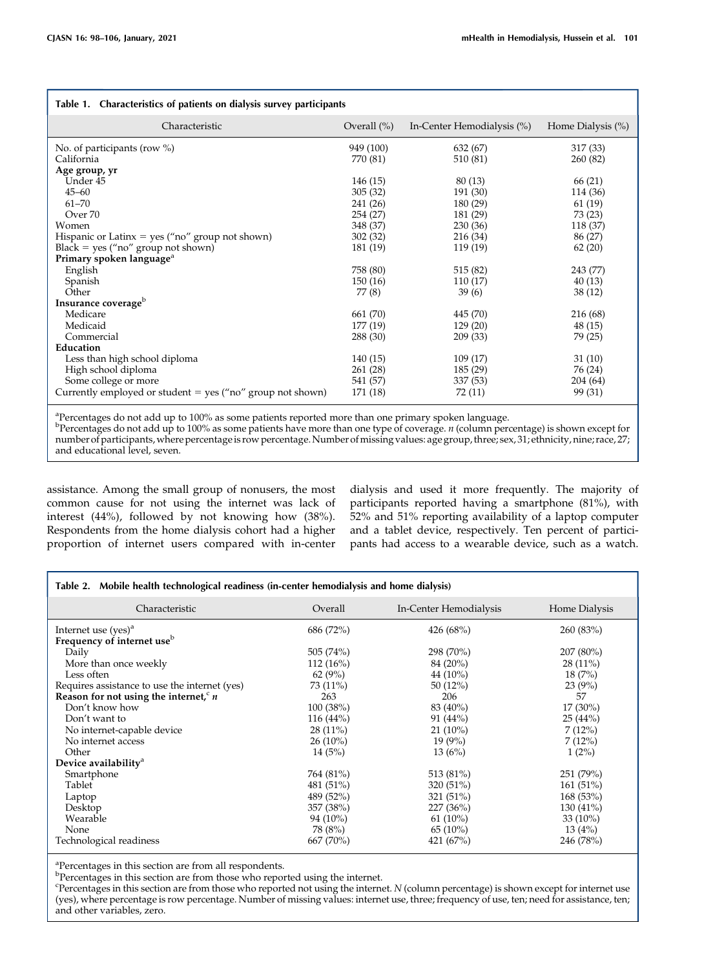| Table 1. Characteristics of patients on dialysis survey participants |                |                            |                   |  |  |  |
|----------------------------------------------------------------------|----------------|----------------------------|-------------------|--|--|--|
| Characteristic                                                       | Overall $(\%)$ | In-Center Hemodialysis (%) | Home Dialysis (%) |  |  |  |
| No. of participants (row $\%$ )                                      | 949 (100)      | 632 (67)                   | 317 (33)          |  |  |  |
| California                                                           | 770 (81)       | 510 (81)                   | 260 (82)          |  |  |  |
| Age group, yr                                                        |                |                            |                   |  |  |  |
| Under 45                                                             | 146 (15)       | 80(13)                     | 66 (21)           |  |  |  |
| $45 - 60$                                                            | 305(32)        | 191 (30)                   | 114 (36)          |  |  |  |
| $61 - 70$                                                            | 241 (26)       | 180 (29)                   | 61(19)            |  |  |  |
| Over 70                                                              | 254 (27)       | 181 (29)                   | 73 (23)           |  |  |  |
| Women                                                                | 348 (37)       | 230(36)                    | 118 (37)          |  |  |  |
| Hispanic or Latinx = $yes("no" group not shown)$                     | 302(32)        | 216 (34)                   | 86 (27)           |  |  |  |
| $Black = yes ("no" group not shown)$                                 | 181 (19)       | 119 (19)                   | 62(20)            |  |  |  |
| Primary spoken language <sup>a</sup>                                 |                |                            |                   |  |  |  |
| English                                                              | 758 (80)       | 515 (82)                   | 243 (77)          |  |  |  |
| Spanish                                                              | 150(16)        | 110(17)                    | 40(13)            |  |  |  |
| Other                                                                | 77 (8)         | 39(6)                      | 38(12)            |  |  |  |
| Insurance coverage <sup>b</sup>                                      |                |                            |                   |  |  |  |
| Medicare                                                             | 661 (70)       | 445 (70)                   | 216 (68)          |  |  |  |
| Medicaid                                                             | 177 (19)       | 129(20)                    | 48 (15)           |  |  |  |
| Commercial                                                           | 288 (30)       | 209 (33)                   | 79 (25)           |  |  |  |
| Education                                                            |                |                            |                   |  |  |  |
| Less than high school diploma                                        | 140(15)        | 109(17)                    | 31(10)            |  |  |  |
| High school diploma                                                  | 261 (28)       | 185 (29)                   | 76 (24)           |  |  |  |
| Some college or more                                                 | 541 (57)       | 337 (53)                   | 204 (64)          |  |  |  |
| Currently employed or student = yes ("no" group not shown)           | 171 (18)       | 72 (11)                    | 99 (31)           |  |  |  |

<sup>a</sup>Percentages do not add up to 100% as some patients reported more than one primary spoken language.

<sup>b</sup>Percentages do not add up to 100% as some patients have more than one type of coverage. *n* (column percentage) is shown except for number of participants,where percentageis row percentage.Number ofmissing values: age group, three; sex, 31; ethnicity, nine; race, 27; and educational level, seven.

assistance. Among the small group of nonusers, the most common cause for not using the internet was lack of interest (44%), followed by not knowing how (38%). Respondents from the home dialysis cohort had a higher proportion of internet users compared with in-center dialysis and used it more frequently. The majority of participants reported having a smartphone (81%), with 52% and 51% reporting availability of a laptop computer and a tablet device, respectively. Ten percent of participants had access to a wearable device, such as a watch.

| Table 2. Mobile health technological readiness (in-center hemodialysis and home dialysis) |             |                        |               |  |  |
|-------------------------------------------------------------------------------------------|-------------|------------------------|---------------|--|--|
| Characteristic                                                                            | Overall     | In-Center Hemodialysis | Home Dialysis |  |  |
| Internet use $(yes)^a$                                                                    | 686 (72%)   | 426 (68%)              | 260(83%)      |  |  |
| Frequency of internet use <sup>b</sup>                                                    |             |                        |               |  |  |
| Daily                                                                                     | 505(74%)    | 298 (70%)              | $207(80\%)$   |  |  |
| More than once weekly                                                                     | $112(16\%)$ | 84 (20%)               | $28(11\%)$    |  |  |
| Less often                                                                                | 62(9%)      | 44 $(10\%)$            | 18(7%)        |  |  |
| Requires assistance to use the internet (yes)                                             | 73 (11%)    | 50(12%)                | 23(9%)        |  |  |
| Reason for not using the internet, $n$                                                    | 263         | 206                    | 57            |  |  |
| Don't know how                                                                            | 100(38%)    | 83 (40%)               | $17(30\%)$    |  |  |
| Don't want to                                                                             | $116(44\%)$ | 91(44%)                | 25(44%)       |  |  |
| No internet-capable device                                                                | $28(11\%)$  | $21(10\%)$             | 7(12%)        |  |  |
| No internet access                                                                        | $26(10\%)$  | $19(9\%)$              | 7(12%)        |  |  |
| Other                                                                                     | 14(5%)      | 13(6%)                 | 1(2%)         |  |  |
| Device availability <sup>a</sup>                                                          |             |                        |               |  |  |
| Smartphone                                                                                | 764 (81%)   | 513 (81%)              | 251 (79%)     |  |  |
| Tablet                                                                                    | 481 (51%)   | 320(51%)               | 161(51%)      |  |  |
| Laptop                                                                                    | 489 (52%)   | 321 (51%)              | 168(53%)      |  |  |
| Desktop                                                                                   | 357 (38%)   | 227(36%)               | 130 (41%)     |  |  |
| Wearable                                                                                  | 94 (10%)    | $61(10\%)$             | 33 $(10\%)$   |  |  |
| None                                                                                      | 78 (8%)     | 65(10%)                | 13(4%)        |  |  |
| Technological readiness                                                                   | 667 (70%)   | 421 (67%)              | 246 (78%)     |  |  |

<sup>a</sup>Percentages in this section are from all respondents.

<sup>b</sup>Percentages in this section are from those who reported using the internet.

c Percentages in this section are from those who reported not using the internet. N (column percentage) is shown except for internet use (yes), where percentage is row percentage. Number of missing values: internet use, three; frequency of use, ten; need for assistance, ten; and other variables, zero.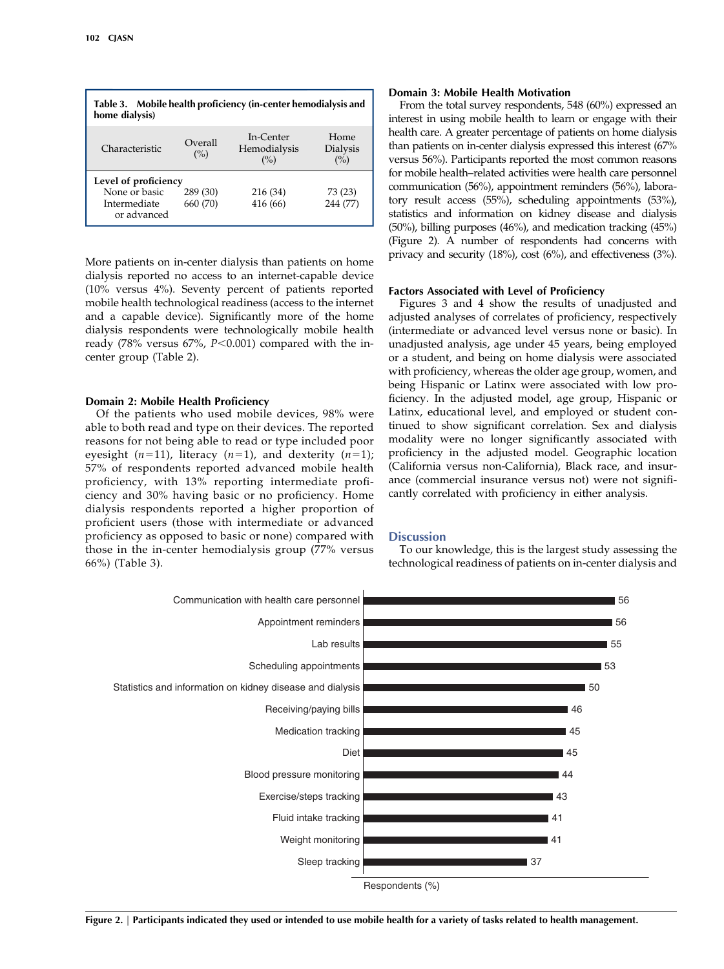| Table 3. Mobile health proficiency (in-center hemodialysis and<br>home dialysis) |                      |                                     |                                |  |  |
|----------------------------------------------------------------------------------|----------------------|-------------------------------------|--------------------------------|--|--|
| Characteristic                                                                   | Overall<br>(%)       | In-Center<br>Hemodialysis<br>$($ %) | Home<br><b>Dialysis</b><br>(%) |  |  |
| Level of proficiency<br>None or basic<br>Intermediate<br>or advanced             | 289 (30)<br>660 (70) | 216 (34)<br>416 (66)                | 73 (23)<br>244 (77)            |  |  |

More patients on in-center dialysis than patients on home dialysis reported no access to an internet-capable device (10% versus 4%). Seventy percent of patients reported mobile health technological readiness (access to the internet and a capable device). Significantly more of the home dialysis respondents were technologically mobile health ready (78% versus 67%,  $P<0.001$ ) compared with the incenter group (Table 2).

## Domain 2: Mobile Health Proficiency

Of the patients who used mobile devices, 98% were able to both read and type on their devices. The reported reasons for not being able to read or type included poor eyesight  $(n=11)$ , literacy  $(n=1)$ , and dexterity  $(n=1)$ ; 57% of respondents reported advanced mobile health proficiency, with 13% reporting intermediate proficiency and 30% having basic or no proficiency. Home dialysis respondents reported a higher proportion of proficient users (those with intermediate or advanced proficiency as opposed to basic or none) compared with those in the in-center hemodialysis group (77% versus 66%) (Table 3).

#### Domain 3: Mobile Health Motivation

From the total survey respondents, 548 (60%) expressed an interest in using mobile health to learn or engage with their health care. A greater percentage of patients on home dialysis than patients on in-center dialysis expressed this interest (67% versus 56%). Participants reported the most common reasons for mobile health–related activities were health care personnel communication (56%), appointment reminders (56%), laboratory result access (55%), scheduling appointments (53%), statistics and information on kidney disease and dialysis (50%), billing purposes (46%), and medication tracking (45%) (Figure 2). A number of respondents had concerns with privacy and security (18%), cost (6%), and effectiveness (3%).

## Factors Associated with Level of Proficiency

Figures 3 and 4 show the results of unadjusted and adjusted analyses of correlates of proficiency, respectively (intermediate or advanced level versus none or basic). In unadjusted analysis, age under 45 years, being employed or a student, and being on home dialysis were associated with proficiency, whereas the older age group, women, and being Hispanic or Latinx were associated with low proficiency. In the adjusted model, age group, Hispanic or Latinx, educational level, and employed or student continued to show significant correlation. Sex and dialysis modality were no longer significantly associated with proficiency in the adjusted model. Geographic location (California versus non-California), Black race, and insurance (commercial insurance versus not) were not significantly correlated with proficiency in either analysis.

#### **Discussion**

To our knowledge, this is the largest study assessing the technological readiness of patients on in-center dialysis and



Figure 2. | Participants indicated they used or intended to use mobile health for a variety of tasks related to health management.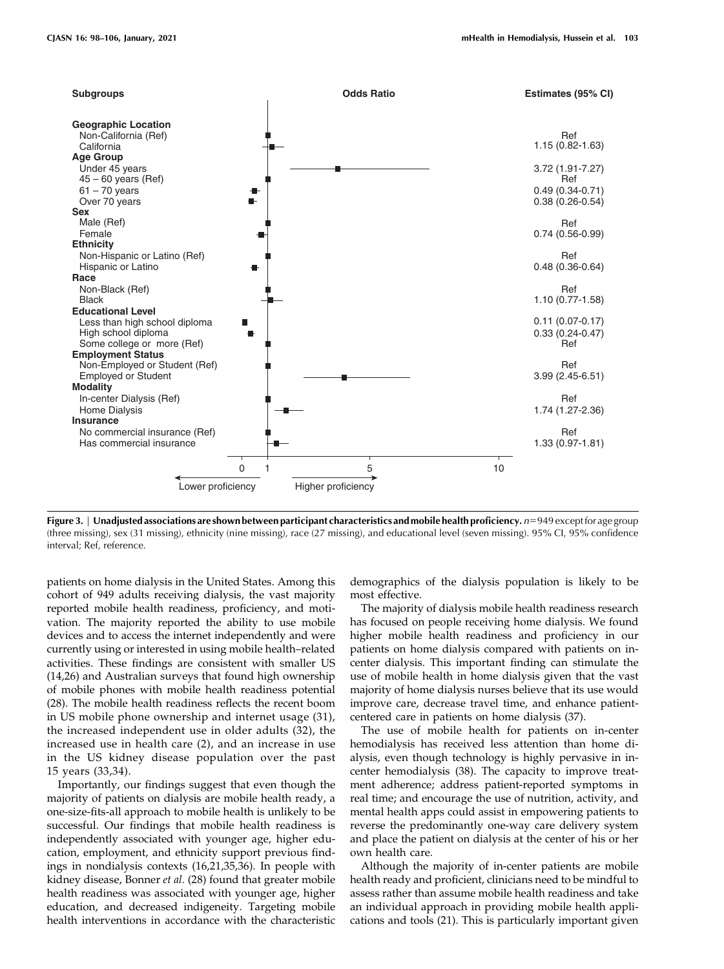

Figure 3. | Unadjusted associations are shown between participant characteristics and mobile health proficiency.  $n=949$  except for age group (three missing), sex (31 missing), ethnicity (nine missing), race (27 missing), and educational level (seven missing). 95% CI, 95% confidence interval; Ref, reference.

patients on home dialysis in the United States. Among this cohort of 949 adults receiving dialysis, the vast majority reported mobile health readiness, proficiency, and motivation. The majority reported the ability to use mobile devices and to access the internet independently and were currently using or interested in using mobile health–related activities. These findings are consistent with smaller US (14,26) and Australian surveys that found high ownership of mobile phones with mobile health readiness potential (28). The mobile health readiness reflects the recent boom in US mobile phone ownership and internet usage (31), the increased independent use in older adults (32), the increased use in health care (2), and an increase in use in the US kidney disease population over the past 15 years (33,34).

Importantly, our findings suggest that even though the majority of patients on dialysis are mobile health ready, a one-size-fits-all approach to mobile health is unlikely to be successful. Our findings that mobile health readiness is independently associated with younger age, higher education, employment, and ethnicity support previous findings in nondialysis contexts (16,21,35,36). In people with kidney disease, Bonner et al. (28) found that greater mobile health readiness was associated with younger age, higher education, and decreased indigeneity. Targeting mobile health interventions in accordance with the characteristic

demographics of the dialysis population is likely to be most effective.

The majority of dialysis mobile health readiness research has focused on people receiving home dialysis. We found higher mobile health readiness and proficiency in our patients on home dialysis compared with patients on incenter dialysis. This important finding can stimulate the use of mobile health in home dialysis given that the vast majority of home dialysis nurses believe that its use would improve care, decrease travel time, and enhance patientcentered care in patients on home dialysis (37).

The use of mobile health for patients on in-center hemodialysis has received less attention than home dialysis, even though technology is highly pervasive in incenter hemodialysis (38). The capacity to improve treatment adherence; address patient-reported symptoms in real time; and encourage the use of nutrition, activity, and mental health apps could assist in empowering patients to reverse the predominantly one-way care delivery system and place the patient on dialysis at the center of his or her own health care.

Although the majority of in-center patients are mobile health ready and proficient, clinicians need to be mindful to assess rather than assume mobile health readiness and take an individual approach in providing mobile health applications and tools (21). This is particularly important given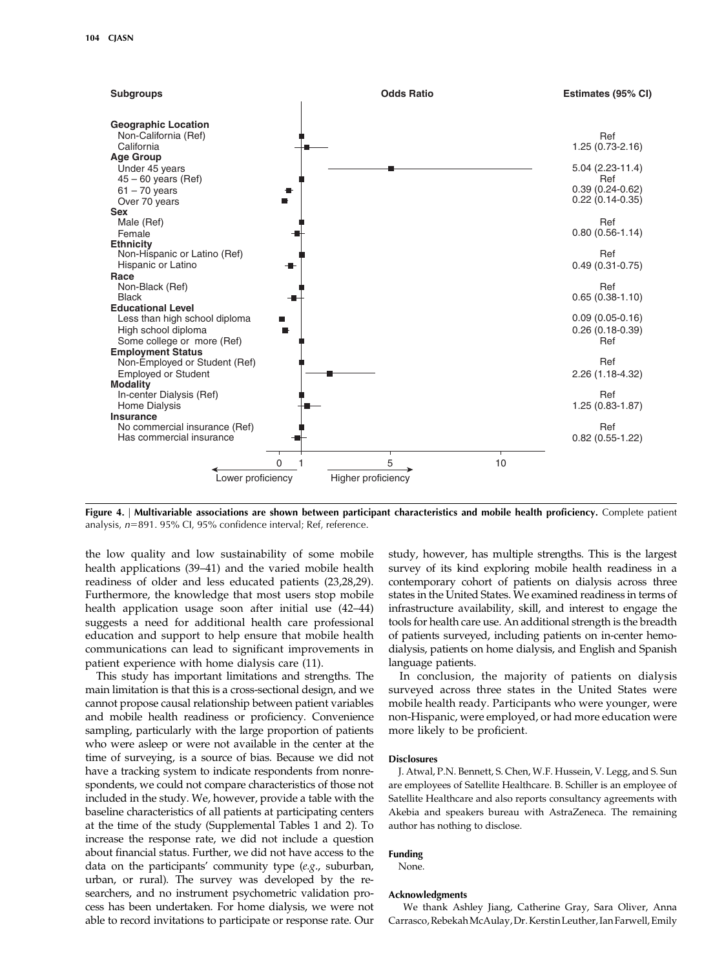

Figure 4. | Multivariable associations are shown between participant characteristics and mobile health proficiency. Complete patient analysis,  $n=891.95\%$  Cl, 95% confidence interval; Ref, reference.

the low quality and low sustainability of some mobile health applications (39–41) and the varied mobile health readiness of older and less educated patients (23,28,29). Furthermore, the knowledge that most users stop mobile health application usage soon after initial use (42–44) suggests a need for additional health care professional education and support to help ensure that mobile health communications can lead to significant improvements in patient experience with home dialysis care (11).

This study has important limitations and strengths. The main limitation is that this is a cross-sectional design, and we cannot propose causal relationship between patient variables and mobile health readiness or proficiency. Convenience sampling, particularly with the large proportion of patients who were asleep or were not available in the center at the time of surveying, is a source of bias. Because we did not have a tracking system to indicate respondents from nonrespondents, we could not compare characteristics of those not included in the study. We, however, provide a table with the baseline characteristics of all patients at participating centers at the time of the study [\(Supplemental Tables 1 and 2\)](http://cjasn.asnjournals.org/lookup/suppl/doi:10.2215/CJN.11690720/-/DCSupplemental). To increase the response rate, we did not include a question about financial status. Further, we did not have access to the data on the participants' community type (e.g., suburban, urban, or rural). The survey was developed by the researchers, and no instrument psychometric validation process has been undertaken. For home dialysis, we were not able to record invitations to participate or response rate. Our study, however, has multiple strengths. This is the largest survey of its kind exploring mobile health readiness in a contemporary cohort of patients on dialysis across three states in the United States. We examined readiness in terms of infrastructure availability, skill, and interest to engage the tools for health care use. An additional strength is the breadth of patients surveyed, including patients on in-center hemodialysis, patients on home dialysis, and English and Spanish language patients.

In conclusion, the majority of patients on dialysis surveyed across three states in the United States were mobile health ready. Participants who were younger, were non-Hispanic, were employed, or had more education were more likely to be proficient.

#### **Disclosures**

J. Atwal, P.N. Bennett, S. Chen, W.F. Hussein, V. Legg, and S. Sun are employees of Satellite Healthcare. B. Schiller is an employee of Satellite Healthcare and also reports consultancy agreements with Akebia and speakers bureau with AstraZeneca. The remaining author has nothing to disclose.

#### Funding

None.

## Acknowledgments

We thank Ashley Jiang, Catherine Gray, Sara Oliver, Anna Carrasco,RebekahMcAulay,Dr. Kerstin Leuther, Ian Farwell, Emily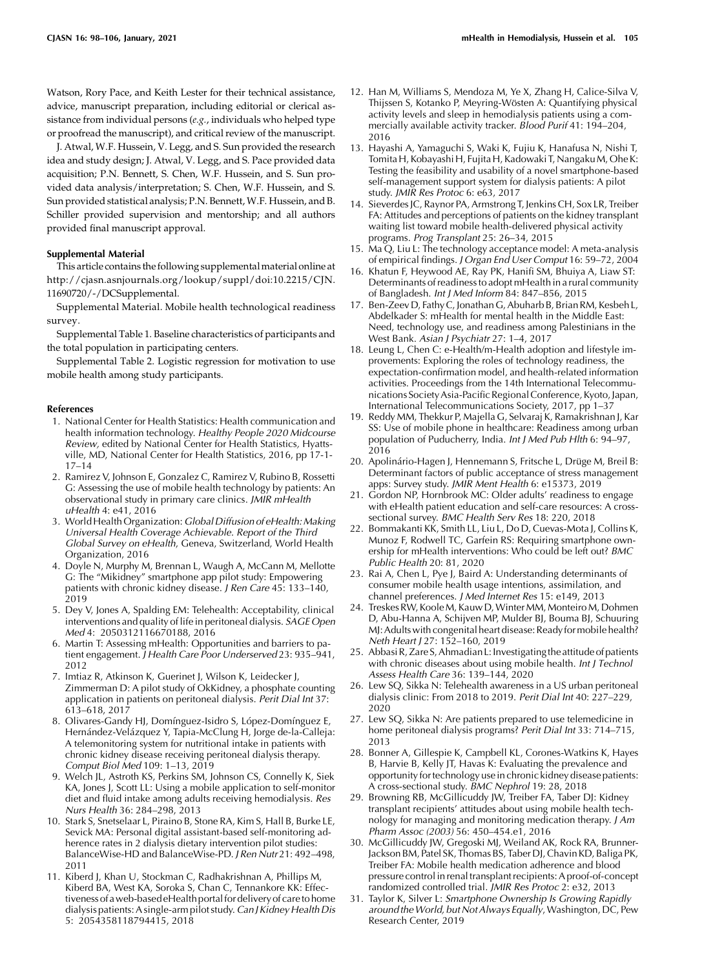Watson, Rory Pace, and Keith Lester for their technical assistance, advice, manuscript preparation, including editorial or clerical assistance from individual persons (e.g., individuals who helped type or proofread the manuscript), and critical review of the manuscript.

J. Atwal, W.F. Hussein, V. Legg, and S. Sun provided the research idea and study design; J. Atwal, V. Legg, and S. Pace provided data acquisition; P.N. Bennett, S. Chen, W.F. Hussein, and S. Sun provided data analysis/interpretation; S. Chen, W.F. Hussein, and S. Sun provided statistical analysis; P.N. Bennett, W.F. Hussein, and B. Schiller provided supervision and mentorship; and all authors provided final manuscript approval.

#### Supplemental Material

This article contains the following supplementalmaterial online at [http://cjasn.asnjournals.org/lookup/suppl/doi:10.2215/CJN.](http://cjasn.asnjournals.org/lookup/suppl/doi:10.2215/CJN.11690720/-/DCSupplemental) [11690720/-/DCSupplemental](http://cjasn.asnjournals.org/lookup/suppl/doi:10.2215/CJN.11690720/-/DCSupplemental).

[Supplemental Material](http://cjasn.asnjournals.org/lookup/suppl/doi:10.2215/CJN.11690720/-/DCSupplemental). Mobile health technological readiness survey.

[Supplemental Table 1.](http://cjasn.asnjournals.org/lookup/suppl/doi:10.2215/CJN.11690720/-/DCSupplemental) Baseline characteristics of participants and the total population in participating centers.

[Supplemental Table 2.](http://cjasn.asnjournals.org/lookup/suppl/doi:10.2215/CJN.11690720/-/DCSupplemental) Logistic regression for motivation to use mobile health among study participants.

#### References

- 1. National Center for Health Statistics: Health communication and health information technology. Healthy People 2020 Midcourse Review, edited by National Center for Health Statistics, Hyattsville, MD, National Center for Health Statistics, 2016, pp 17-1- 17–14
- 2. Ramirez V, Johnson E, Gonzalez C, Ramirez V, Rubino B, Rossetti G: Assessing the use of mobile health technology by patients: An observational study in primary care clinics. JMIR mHealth uHealth 4: e41, 2016
- 3. World Health Organization: Global Diffusion of eHealth: Making Universal Health Coverage Achievable. Report of the Third Global Survey on eHealth, Geneva, Switzerland, World Health Organization, 2016
- 4. Doyle N, Murphy M, Brennan L, Waugh A, McCann M, Mellotte G: The "Mikidney" smartphone app pilot study: Empowering patients with chronic kidney disease. J Ren Care 45: 133–140, 2019
- 5. Dey V, Jones A, Spalding EM: Telehealth: Acceptability, clinical interventions and quality of life in peritoneal dialysis. SAGE Open Med 4: 2050312116670188, 2016
- 6. Martin T: Assessing mHealth: Opportunities and barriers to patient engagement. J Health Care Poor Underserved 23: 935–941, 2012
- 7. Imtiaz R, Atkinson K, Guerinet J, Wilson K, Leidecker J, Zimmerman D: A pilot study of OkKidney, a phosphate counting application in patients on peritoneal dialysis. Perit Dial Int 37: 613–618, 2017
- 8. Olivares-Gandy HJ, Domínguez-Isidro S, López-Domínguez E, Hernández-Velázquez Y, Tapia-McClung H, Jorge de-la-Calleja: A telemonitoring system for nutritional intake in patients with chronic kidney disease receiving peritoneal dialysis therapy. Comput Biol Med 109: 1–13, 2019
- 9. Welch JL, Astroth KS, Perkins SM, Johnson CS, Connelly K, Siek KA, Jones J, Scott LL: Using a mobile application to self-monitor diet and fluid intake among adults receiving hemodialysis. Res Nurs Health 36: 284–298, 2013
- 10. Stark S, Snetselaar L, Piraino B, Stone RA, Kim S, Hall B, Burke LE, Sevick MA: Personal digital assistant-based self-monitoring adherence rates in 2 dialysis dietary intervention pilot studies: BalanceWise-HD and BalanceWise-PD. J Ren Nutr 21: 492–498, 2011
- 11. Kiberd J, Khan U, Stockman C, Radhakrishnan A, Phillips M, Kiberd BA, West KA, Soroka S, Chan C, Tennankore KK: Effectiveness of a web-based eHealth portal for delivery of care to home dialysis patients: A single-arm pilot study. Can J Kidney Health Dis 5: 2054358118794415, 2018
- 12. Han M, Williams S, Mendoza M, Ye X, Zhang H, Calice-Silva V, Thijssen S, Kotanko P, Meyring-Wösten A: Quantifying physical activity levels and sleep in hemodialysis patients using a commercially available activity tracker. Blood Purif 41: 194-204, 2016
- 13. Hayashi A, Yamaguchi S, Waki K, Fujiu K, Hanafusa N, Nishi T, Tomita H, Kobayashi H, Fujita H, Kadowaki T, NangakuM, Ohe K: Testing the feasibility and usability of a novel smartphone-based self-management support system for dialysis patients: A pilot study. JMIR Res Protoc 6: e63, 2017
- 14. Sieverdes JC, Raynor PA, Armstrong T, Jenkins CH, Sox LR, Treiber FA: Attitudes and perceptions of patients on the kidney transplant waiting list toward mobile health-delivered physical activity programs. Prog Transplant 25: 26–34, 2015
- 15. Ma Q, Liu L: The technology acceptance model: A meta-analysis of empirical findings. J Organ End User Comput 16: 59–72, 2004
- 16. Khatun F, Heywood AE, Ray PK, Hanifi SM, Bhuiya A, Liaw ST: Determinants of readiness to adopt mHealth in a rural community of Bangladesh. Int J Med Inform 84: 847–856, 2015
- 17. Ben-Zeev D, Fathy C, Jonathan G, Abuharb B, Brian RM, Kesbeh L, Abdelkader S: mHealth for mental health in the Middle East: Need, technology use, and readiness among Palestinians in the West Bank. Asian J Psychiatr 27: 1–4, 2017
- 18. Leung L, Chen C: e-Health/m-Health adoption and lifestyle improvements: Exploring the roles of technology readiness, the expectation-confirmation model, and health-related information activities. Proceedings from the 14th International Telecommunications Society Asia-Pacific Regional Conference, Kyoto, Japan, International Telecommunications Society, 2017, pp 1–37
- 19. Reddy MM, Thekkur P, Majella G, Selvaraj K, Ramakrishnan J, Kar SS: Use of mobile phone in healthcare: Readiness among urban population of Puducherry, India. Int J Med Pub Hlth 6: 94–97, 2016
- 20. Apolinário-Hagen J, Hennemann S, Fritsche L, Drüge M, Breil B: Determinant factors of public acceptance of stress management apps: Survey study. JMIR Ment Health 6: e15373, 2019
- 21. Gordon NP, Hornbrook MC: Older adults' readiness to engage with eHealth patient education and self-care resources: A crosssectional survey. BMC Health Serv Res 18: 220, 2018
- 22. Bommakanti KK, Smith LL, Liu L, Do D, Cuevas-Mota J, Collins K, Munoz F, Rodwell TC, Garfein RS: Requiring smartphone ownership for mHealth interventions: Who could be left out? BMC Public Health 20: 81, 2020
- 23. Rai A, Chen L, Pye J, Baird A: Understanding determinants of consumer mobile health usage intentions, assimilation, and channel preferences. J Med Internet Res 15: e149, 2013
- 24. Treskes RW, Koole M, Kauw D, Winter MM, Monteiro M, Dohmen D, Abu-Hanna A, Schijven MP, Mulder BJ, Bouma BJ, Schuuring MJ: Adults with congenital heart disease: Ready for mobile health? Neth Heart J 27: 152–160, 2019
- 25. Abbasi R, Zare S, Ahmadian L: Investigating the attitude of patients with chronic diseases about using mobile health. Int J Technol Assess Health Care 36: 139–144, 2020
- 26. Lew SQ, Sikka N: Telehealth awareness in a US urban peritoneal dialysis clinic: From 2018 to 2019. Perit Dial Int 40: 227–229, 2020
- 27. Lew SQ, Sikka N: Are patients prepared to use telemedicine in home peritoneal dialysis programs? Perit Dial Int 33: 714–715, 2013
- 28. Bonner A, Gillespie K, Campbell KL, Corones-Watkins K, Hayes B, Harvie B, Kelly JT, Havas K: Evaluating the prevalence and opportunity for technology usein chronic kidney disease patients: A cross-sectional study. BMC Nephrol 19: 28, 2018
- 29. Browning RB, McGillicuddy JW, Treiber FA, Taber DJ: Kidney transplant recipients' attitudes about using mobile health technology for managing and monitoring medication therapy. J Am Pharm Assoc (2003) 56: 450–454.e1, 2016
- 30. McGillicuddy JW, Gregoski MJ, Weiland AK, Rock RA, Brunner-Jackson BM, Patel SK, Thomas BS, Taber DJ, Chavin KD, Baliga PK, Treiber FA: Mobile health medication adherence and blood pressure control in renal transplant recipients: A proof-of-concept randomized controlled trial. JMIR Res Protoc 2: e32, 2013
- 31. Taylor K, Silver L: Smartphone Ownership Is Growing Rapidly around the World, but Not Always Equally, Washington, DC, Pew Research Center, 2019